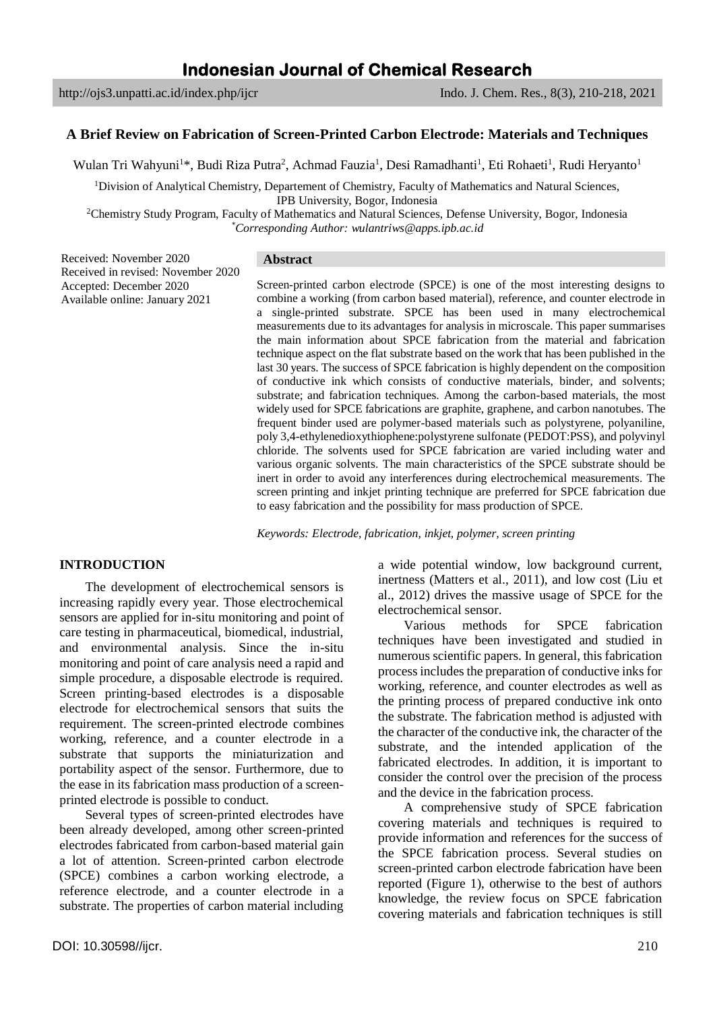# **A Brief Review on Fabrication of Screen-Printed Carbon Electrode: Materials and Techniques**

Wulan Tri Wahyuni<sup>1\*</sup>, Budi Riza Putra<sup>2</sup>, Achmad Fauzia<sup>1</sup>, Desi Ramadhanti<sup>1</sup>, Eti Rohaeti<sup>1</sup>, Rudi Heryanto<sup>1</sup>

<sup>1</sup>Division of Analytical Chemistry, Departement of Chemistry, Faculty of Mathematics and Natural Sciences,

IPB University, Bogor, Indonesia

<sup>2</sup>Chemistry Study Program, Faculty of Mathematics and Natural Sciences, Defense University, Bogor, Indonesia *\*Corresponding Author: wulantriws@apps.ipb.ac.id*

Received: November 2020 Received in revised: November 2020 Accepted: December 2020 Available online: January 2021

### **Abstract**

Screen-printed carbon electrode (SPCE) is one of the most interesting designs to combine a working (from carbon based material), reference, and counter electrode in a single-printed substrate. SPCE has been used in many electrochemical measurements due to its advantages for analysis in microscale. This paper summarises the main information about SPCE fabrication from the material and fabrication technique aspect on the flat substrate based on the work that has been published in the last 30 years. The success of SPCE fabrication is highly dependent on the composition of conductive ink which consists of conductive materials, binder, and solvents; substrate; and fabrication techniques. Among the carbon-based materials, the most widely used for SPCE fabrications are graphite, graphene, and carbon nanotubes. The frequent binder used are polymer-based materials such as polystyrene, polyaniline, poly 3,4-ethylenedioxythiophene:polystyrene sulfonate (PEDOT:PSS), and polyvinyl chloride. The solvents used for SPCE fabrication are varied including water and various organic solvents. The main characteristics of the SPCE substrate should be inert in order to avoid any interferences during electrochemical measurements. The screen printing and inkjet printing technique are preferred for SPCE fabrication due to easy fabrication and the possibility for mass production of SPCE.

*Keywords: Electrode, fabrication, inkjet, polymer, screen printing*

# **INTRODUCTION**

The development of electrochemical sensors is increasing rapidly every year. Those electrochemical sensors are applied for in-situ monitoring and point of care testing in pharmaceutical, biomedical, industrial, and environmental analysis. Since the in-situ monitoring and point of care analysis need a rapid and simple procedure, a disposable electrode is required. Screen printing-based electrodes is a disposable electrode for electrochemical sensors that suits the requirement. The screen-printed electrode combines working, reference, and a counter electrode in a substrate that supports the miniaturization and portability aspect of the sensor. Furthermore, due to the ease in its fabrication mass production of a screenprinted electrode is possible to conduct.

Several types of screen-printed electrodes have been already developed, among other screen-printed electrodes fabricated from carbon-based material gain a lot of attention. Screen-printed carbon electrode (SPCE) combines a carbon working electrode, a reference electrode, and a counter electrode in a substrate. The properties of carbon material including

a wide potential window, low background current, inertness (Matters et al., 2011), and low cost (Liu et al., 2012) drives the massive usage of SPCE for the electrochemical sensor.

Various methods for SPCE fabrication techniques have been investigated and studied in numerous scientific papers. In general, this fabrication process includes the preparation of conductive inks for working, reference, and counter electrodes as well as the printing process of prepared conductive ink onto the substrate. The fabrication method is adjusted with the character of the conductive ink, the character of the substrate, and the intended application of the fabricated electrodes. In addition, it is important to consider the control over the precision of the process and the device in the fabrication process.

A comprehensive study of SPCE fabrication covering materials and techniques is required to provide information and references for the success of the SPCE fabrication process. Several studies on screen-printed carbon electrode fabrication have been reported (Figure 1), otherwise to the best of authors knowledge, the review focus on SPCE fabrication covering materials and fabrication techniques is still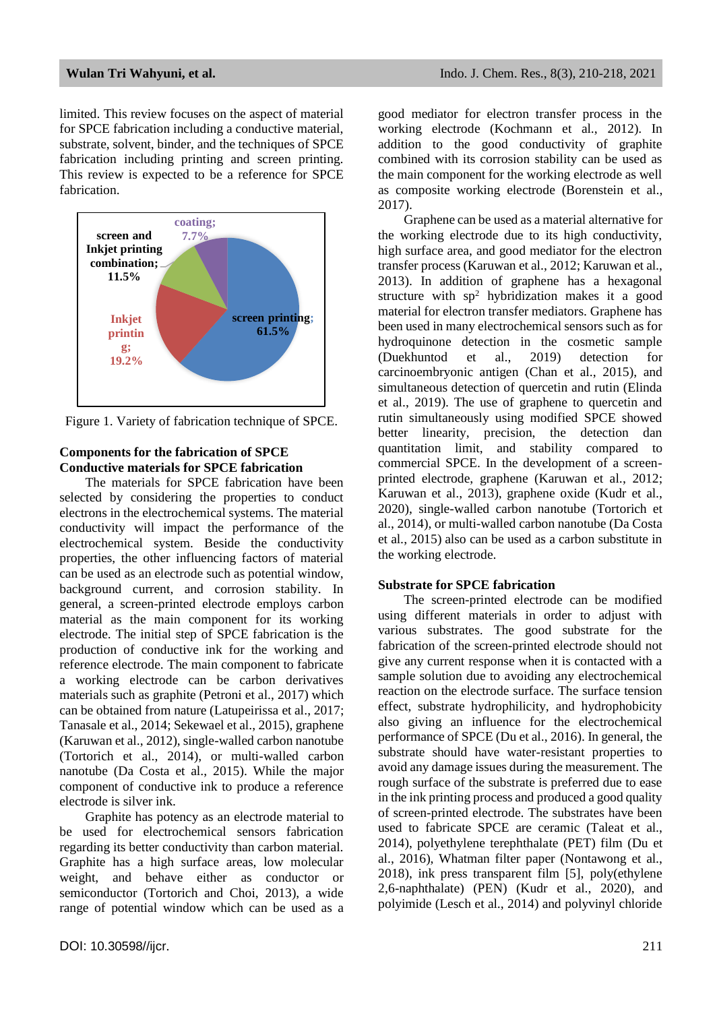limited. This review focuses on the aspect of material for SPCE fabrication including a conductive material, substrate, solvent, binder, and the techniques of SPCE fabrication including printing and screen printing. This review is expected to be a reference for SPCE fabrication.



Figure 1. Variety of fabrication technique of SPCE.

# **Components for the fabrication of SPCE Conductive materials for SPCE fabrication**

The materials for SPCE fabrication have been selected by considering the properties to conduct electrons in the electrochemical systems. The material conductivity will impact the performance of the electrochemical system. Beside the conductivity properties, the other influencing factors of material can be used as an electrode such as potential window, background current, and corrosion stability. In general, a screen-printed electrode employs carbon material as the main component for its working electrode. The initial step of SPCE fabrication is the production of conductive ink for the working and reference electrode. The main component to fabricate a working electrode can be carbon derivatives materials such as graphite (Petroni et al., 2017) which can be obtained from nature (Latupeirissa et al., 2017; Tanasale et al., 2014; Sekewael et al., 2015), graphene (Karuwan et al., 2012), single-walled carbon nanotube (Tortorich et al., 2014), or multi-walled carbon nanotube (Da Costa et al., 2015). While the major component of conductive ink to produce a reference electrode is silver ink.

Graphite has potency as an electrode material to be used for electrochemical sensors fabrication regarding its better conductivity than carbon material. Graphite has a high surface areas, low molecular weight, and behave either as conductor or semiconductor (Tortorich and Choi, 2013), a wide range of potential window which can be used as a good mediator for electron transfer process in the working electrode (Kochmann et al., 2012). In addition to the good conductivity of graphite combined with its corrosion stability can be used as the main component for the working electrode as well as composite working electrode (Borenstein et al., 2017).

Graphene can be used as a material alternative for the working electrode due to its high conductivity, high surface area, and good mediator for the electron transfer process (Karuwan et al., 2012; Karuwan et al., 2013). In addition of graphene has a hexagonal structure with sp<sup>2</sup> hybridization makes it a good material for electron transfer mediators. Graphene has been used in many electrochemical sensors such as for hydroquinone detection in the cosmetic sample (Duekhuntod et al., 2019) detection for carcinoembryonic antigen (Chan et al., 2015), and simultaneous detection of quercetin and rutin (Elinda et al., 2019). The use of graphene to quercetin and rutin simultaneously using modified SPCE showed better linearity, precision, the detection dan quantitation limit, and stability compared to commercial SPCE. In the development of a screenprinted electrode, graphene (Karuwan et al., 2012; Karuwan et al., 2013), graphene oxide (Kudr et al., 2020), single-walled carbon nanotube (Tortorich et al., 2014), or multi-walled carbon nanotube (Da Costa et al., 2015) also can be used as a carbon substitute in the working electrode.

### **Substrate for SPCE fabrication**

The screen-printed electrode can be modified using different materials in order to adjust with various substrates. The good substrate for the fabrication of the screen-printed electrode should not give any current response when it is contacted with a sample solution due to avoiding any electrochemical reaction on the electrode surface. The surface tension effect, substrate hydrophilicity, and hydrophobicity also giving an influence for the electrochemical performance of SPCE (Du et al., 2016). In general, the substrate should have water-resistant properties to avoid any damage issues during the measurement. The rough surface of the substrate is preferred due to ease in the ink printing process and produced a good quality of screen-printed electrode. The substrates have been used to fabricate SPCE are ceramic (Taleat et al., 2014), polyethylene terephthalate (PET) film (Du et al., 2016), Whatman filter paper (Nontawong et al., 2018), ink press transparent film [5], poly(ethylene 2,6-naphthalate) (PEN) (Kudr et al., 2020), and polyimide (Lesch et al., 2014) and polyvinyl chloride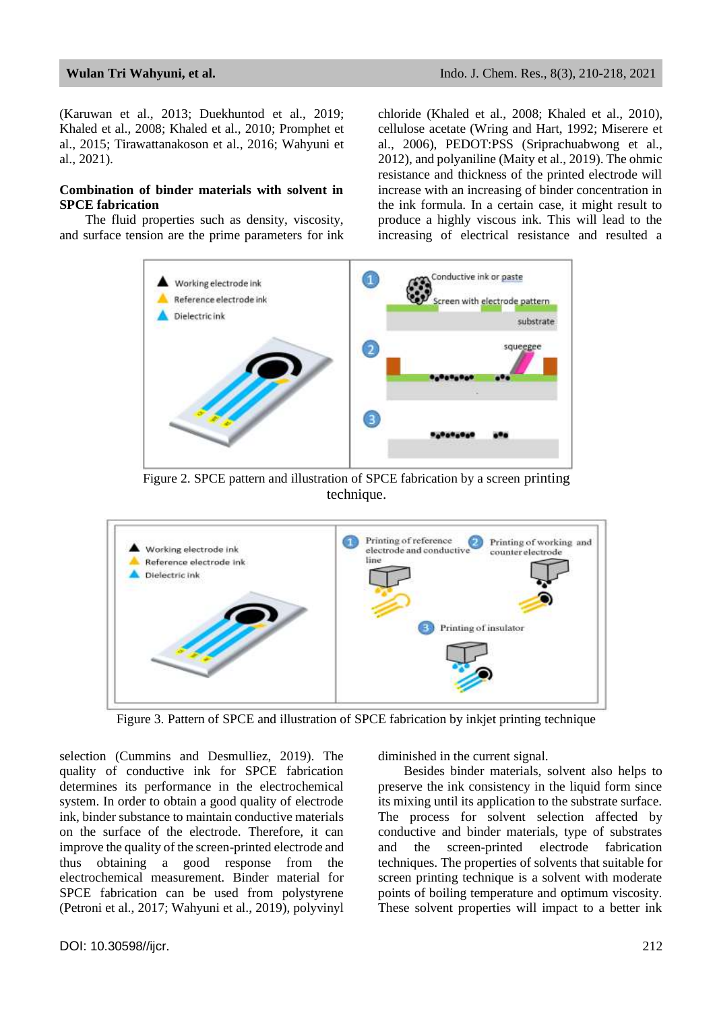(Karuwan et al., 2013; Duekhuntod et al., 2019; Khaled et al., 2008; Khaled et al., 2010; Promphet et al., 2015; Tirawattanakoson et al., 2016; Wahyuni et al., 2021).

### **Combination of binder materials with solvent in SPCE fabrication**

The fluid properties such as density, viscosity, and surface tension are the prime parameters for ink chloride (Khaled et al., 2008; Khaled et al., 2010), cellulose acetate (Wring and Hart, 1992; Miserere et al., 2006), PEDOT:PSS (Sriprachuabwong et al., 2012), and polyaniline (Maity et al., 2019). The ohmic resistance and thickness of the printed electrode will increase with an increasing of binder concentration in the ink formula. In a certain case, it might result to produce a highly viscous ink. This will lead to the increasing of electrical resistance and resulted a



Figure 2. SPCE pattern and illustration of SPCE fabrication by a screen printing technique.



Figure 3. Pattern of SPCE and illustration of SPCE fabrication by inkjet printing technique

selection (Cummins and Desmulliez, 2019). The quality of conductive ink for SPCE fabrication determines its performance in the electrochemical system. In order to obtain a good quality of electrode ink, binder substance to maintain conductive materials on the surface of the electrode. Therefore, it can improve the quality of the screen-printed electrode and thus obtaining a good response from the electrochemical measurement. Binder material for SPCE fabrication can be used from polystyrene (Petroni et al., 2017; Wahyuni et al., 2019), polyvinyl diminished in the current signal.

Besides binder materials, solvent also helps to preserve the ink consistency in the liquid form since its mixing until its application to the substrate surface. The process for solvent selection affected by conductive and binder materials, type of substrates and the screen-printed electrode fabrication techniques. The properties of solvents that suitable for screen printing technique is a solvent with moderate points of boiling temperature and optimum viscosity. These solvent properties will impact to a better ink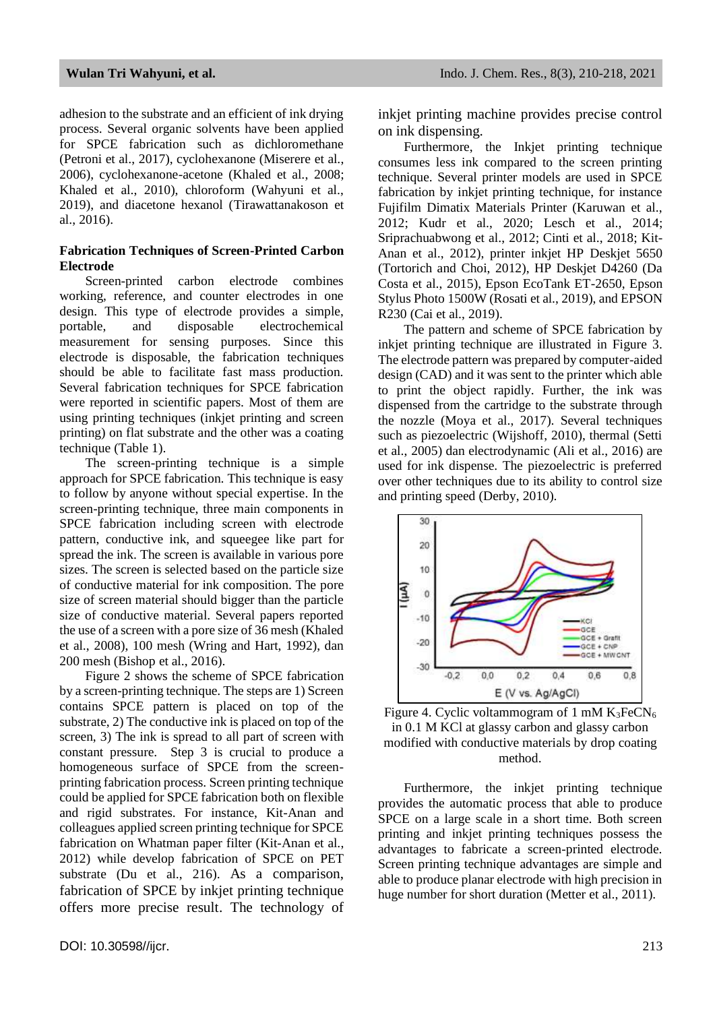adhesion to the substrate and an efficient of ink drying process. Several organic solvents have been applied for SPCE fabrication such as dichloromethane (Petroni et al., 2017), cyclohexanone (Miserere et al., 2006), cyclohexanone-acetone (Khaled et al., 2008; Khaled et al., 2010), chloroform (Wahyuni et al., 2019), and diacetone hexanol (Tirawattanakoson et al., 2016).

# **Fabrication Techniques of Screen-Printed Carbon Electrode**

Screen-printed carbon electrode combines working, reference, and counter electrodes in one design. This type of electrode provides a simple, portable, and disposable electrochemical measurement for sensing purposes. Since this electrode is disposable, the fabrication techniques should be able to facilitate fast mass production. Several fabrication techniques for SPCE fabrication were reported in scientific papers. Most of them are using printing techniques (inkjet printing and screen printing) on flat substrate and the other was a coating technique (Table 1).

The screen-printing technique is a simple approach for SPCE fabrication. This technique is easy to follow by anyone without special expertise. In the screen-printing technique, three main components in SPCE fabrication including screen with electrode pattern, conductive ink, and squeegee like part for spread the ink. The screen is available in various pore sizes. The screen is selected based on the particle size of conductive material for ink composition. The pore size of screen material should bigger than the particle size of conductive material. Several papers reported the use of a screen with a pore size of 36 mesh (Khaled et al., 2008), 100 mesh (Wring and Hart, 1992), dan 200 mesh (Bishop et al., 2016).

Figure 2 shows the scheme of SPCE fabrication by a screen-printing technique. The steps are 1) Screen contains SPCE pattern is placed on top of the substrate, 2) The conductive ink is placed on top of the screen, 3) The ink is spread to all part of screen with constant pressure. Step 3 is crucial to produce a homogeneous surface of SPCE from the screenprinting fabrication process. Screen printing technique could be applied for SPCE fabrication both on flexible and rigid substrates. For instance, Kit-Anan and colleagues applied screen printing technique for SPCE fabrication on Whatman paper filter (Kit-Anan et al., 2012) while develop fabrication of SPCE on PET substrate (Du et al., 216). As a comparison, fabrication of SPCE by inkjet printing technique offers more precise result. The technology of inkiet printing machine provides precise control on ink dispensing.

Furthermore, the Inkjet printing technique consumes less ink compared to the screen printing technique. Several printer models are used in SPCE fabrication by inkjet printing technique, for instance Fujifilm Dimatix Materials Printer (Karuwan et al., 2012; Kudr et al., 2020; Lesch et al., 2014; Sriprachuabwong et al., 2012; Cinti et al., 2018; Kit-Anan et al., 2012), printer inkjet HP Deskjet 5650 (Tortorich and Choi, 2012), HP Deskjet D4260 (Da Costa et al., 2015), Epson EcoTank ET-2650, Epson Stylus Photo 1500W (Rosati et al., 2019), and EPSON R230 (Cai et al., 2019).

The pattern and scheme of SPCE fabrication by inkjet printing technique are illustrated in Figure 3. The electrode pattern was prepared by computer-aided design (CAD) and it was sent to the printer which able to print the object rapidly. Further, the ink was dispensed from the cartridge to the substrate through the nozzle (Moya et al., 2017). Several techniques such as piezoelectric (Wijshoff, 2010), thermal (Setti et al., 2005) dan electrodynamic (Ali et al., 2016) are used for ink dispense. The piezoelectric is preferred over other techniques due to its ability to control size and printing speed (Derby, 2010).



Figure 4. Cyclic voltammogram of 1 mM  $K_3FeCN_6$ in 0.1 M KCl at glassy carbon and glassy carbon modified with conductive materials by drop coating method.

Furthermore, the inkjet printing technique provides the automatic process that able to produce SPCE on a large scale in a short time. Both screen printing and inkjet printing techniques possess the advantages to fabricate a screen-printed electrode. Screen printing technique advantages are simple and able to produce planar electrode with high precision in huge number for short duration (Metter et al., 2011).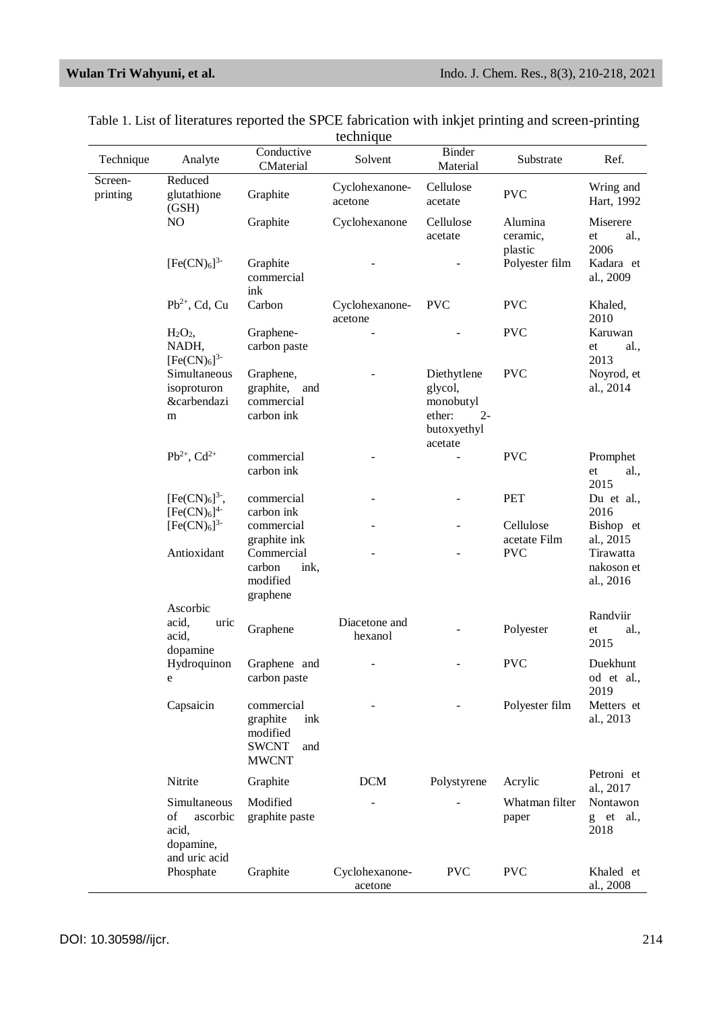| Technique           | Analyte                                                             | Conductive<br>CMaterial                                                          | Solvent                   | <b>Binder</b><br>Material                                                        | Substrate                      | Ref.                                 |
|---------------------|---------------------------------------------------------------------|----------------------------------------------------------------------------------|---------------------------|----------------------------------------------------------------------------------|--------------------------------|--------------------------------------|
| Screen-<br>printing | Reduced<br>glutathione<br>(GSH)                                     | Graphite                                                                         | Cyclohexanone-<br>acetone | Cellulose<br>acetate                                                             | <b>PVC</b>                     | Wring and<br>Hart, 1992              |
|                     | N <sub>O</sub>                                                      | Graphite                                                                         | Cyclohexanone             | Cellulose<br>acetate                                                             | Alumina<br>ceramic,<br>plastic | Miserere<br>al.,<br>et<br>2006       |
|                     | $[Fe(CN)6]$ <sup>3-</sup>                                           | Graphite<br>commercial<br>ink                                                    |                           |                                                                                  | Polyester film                 | Kadara et<br>al., 2009               |
|                     | $Pb^{2+}$ , Cd, Cu                                                  | Carbon                                                                           | Cyclohexanone-<br>acetone | <b>PVC</b>                                                                       | <b>PVC</b>                     | Khaled,<br>2010                      |
|                     | H <sub>2</sub> O <sub>2</sub><br>NADH,<br>$[Fe(CN)6]$ <sup>3-</sup> | Graphene-<br>carbon paste                                                        |                           |                                                                                  | <b>PVC</b>                     | Karuwan<br>al.,<br>et<br>2013        |
|                     | Simultaneous<br>isoproturon<br><i>&amp;carbendazi</i><br>m          | Graphene,<br>graphite,<br>and<br>commercial<br>carbon ink                        |                           | Diethytlene<br>glycol,<br>monobutyl<br>ether:<br>$2 -$<br>butoxyethyl<br>acetate | <b>PVC</b>                     | Noyrod, et<br>al., 2014              |
|                     | $Pb^{2+}$ , Cd <sup>2+</sup>                                        | commercial<br>carbon ink                                                         |                           |                                                                                  | <b>PVC</b>                     | Promphet<br>al.,<br>et<br>2015       |
|                     | $[Fe(CN)6]^{3}$ <sup>-</sup> ,<br>$[Fe(CN)6]$ <sup>4-</sup>         | commercial<br>carbon ink                                                         |                           |                                                                                  | <b>PET</b>                     | Du et al.,<br>2016                   |
|                     | $[Fe(CN)6]$ <sup>3-</sup>                                           | commercial<br>graphite ink                                                       |                           | $\qquad \qquad \blacksquare$                                                     | Cellulose<br>acetate Film      | Bishop et<br>al., 2015               |
|                     | Antioxidant                                                         | Commercial<br>carbon<br>ink,<br>modified<br>graphene                             |                           |                                                                                  | <b>PVC</b>                     | Tirawatta<br>nakoson et<br>al., 2016 |
|                     | Ascorbic<br>acid,<br>uric<br>acid,<br>dopamine                      | Graphene                                                                         | Diacetone and<br>hexanol  |                                                                                  | Polyester                      | Randviir<br>al.,<br>et<br>2015       |
|                     | Hydroquinon<br>e                                                    | Graphene and<br>carbon paste                                                     |                           |                                                                                  | <b>PVC</b>                     | Duekhunt<br>od et al.,<br>2019       |
|                     | Capsaicin                                                           | commercial<br>graphite<br>ink<br>modified<br><b>SWCNT</b><br>and<br><b>MWCNT</b> |                           |                                                                                  | Polyester film                 | Metters et<br>al., 2013              |
|                     | Nitrite                                                             | Graphite                                                                         | <b>DCM</b>                | Polystyrene                                                                      | Acrylic                        | Petroni et<br>al., 2017              |
|                     | Simultaneous<br>of<br>ascorbic<br>acid,<br>dopamine,                | Modified<br>graphite paste                                                       |                           |                                                                                  | Whatman filter<br>paper        | Nontawon<br>g et al.,<br>2018        |
|                     | and uric acid<br>Phosphate                                          | Graphite                                                                         | Cyclohexanone-<br>acetone | <b>PVC</b>                                                                       | <b>PVC</b>                     | Khaled et<br>al., 2008               |

Table 1. List of literatures reported the SPCE fabrication with inkjet printing and screen-printing technique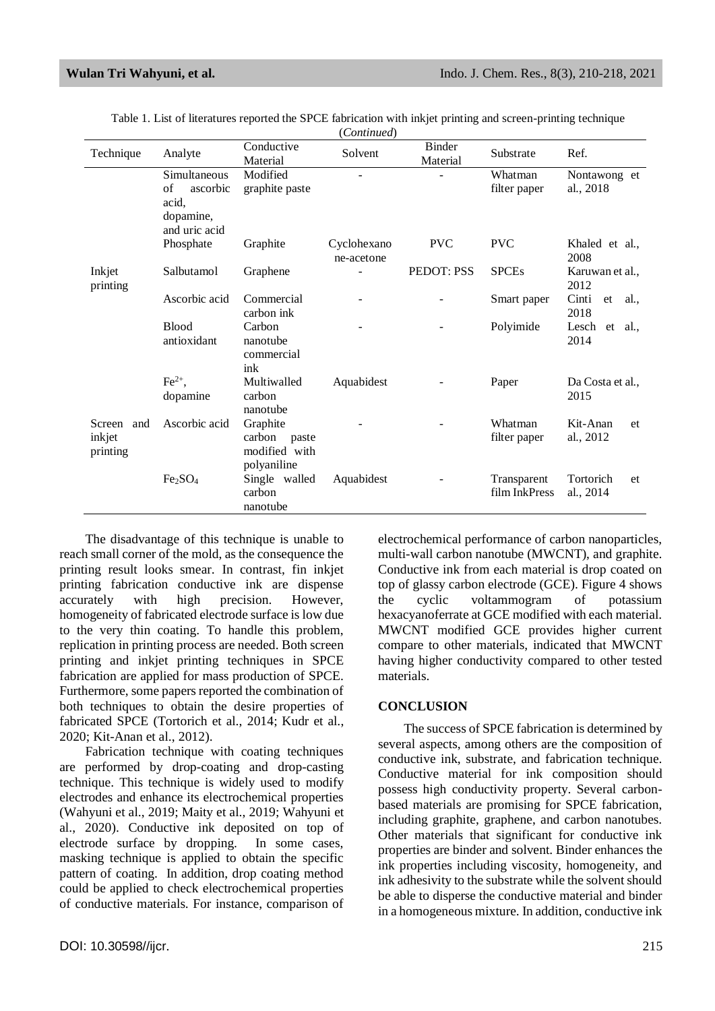| Technique                           | Analyte                                                               | Conductive<br>Material                                      | Solvent                   | <b>Binder</b><br>Material | Substrate                    | Ref.                         |
|-------------------------------------|-----------------------------------------------------------------------|-------------------------------------------------------------|---------------------------|---------------------------|------------------------------|------------------------------|
|                                     | Simultaneous<br>of<br>ascorbic<br>acid,<br>dopamine,<br>and uric acid | Modified<br>graphite paste                                  |                           |                           | Whatman<br>filter paper      | Nontawong et<br>al., 2018    |
| Inkjet<br>printing                  | Phosphate                                                             | Graphite                                                    | Cyclohexano<br>ne-acetone | <b>PVC</b>                | <b>PVC</b>                   | Khaled et al.,<br>2008       |
|                                     | Salbutamol                                                            | Graphene                                                    |                           | PEDOT: PSS                | <b>SPCEs</b>                 | Karuwan et al.,<br>2012      |
|                                     | Ascorbic acid                                                         | Commercial<br>carbon ink                                    |                           |                           | Smart paper                  | Cinti<br>et<br>al.,<br>2018  |
|                                     | <b>Blood</b><br>antioxidant                                           | Carbon<br>nanotube<br>commercial<br>ink                     |                           |                           | Polyimide                    | Lesch et<br>al.,<br>2014     |
| Screen<br>and<br>inkjet<br>printing | $\text{Fe}^{2+}$ ,<br>dopamine                                        | Multiwalled<br>carbon<br>nanotube                           | Aquabidest                |                           | Paper                        | Da Costa et al.,<br>2015     |
|                                     | Ascorbic acid                                                         | Graphite<br>carbon<br>paste<br>modified with<br>polyaniline |                           |                           | Whatman<br>filter paper      | Kit-Anan<br>et<br>al., 2012  |
|                                     | Fe <sub>2</sub> SO <sub>4</sub>                                       | Single walled<br>carbon<br>nanotube                         | Aquabidest                |                           | Transparent<br>film InkPress | Tortorich<br>et<br>al., 2014 |

Table 1. List of literatures reported the SPCE fabrication with inkjet printing and screen-printing technique (*Continued*)

The disadvantage of this technique is unable to reach small corner of the mold, as the consequence the printing result looks smear. In contrast, fin inkjet printing fabrication conductive ink are dispense accurately with high precision. However, homogeneity of fabricated electrode surface is low due to the very thin coating. To handle this problem, replication in printing process are needed. Both screen printing and inkjet printing techniques in SPCE fabrication are applied for mass production of SPCE. Furthermore, some papers reported the combination of both techniques to obtain the desire properties of fabricated SPCE (Tortorich et al., 2014; Kudr et al., 2020; Kit-Anan et al., 2012).

Fabrication technique with coating techniques are performed by drop-coating and drop-casting technique. This technique is widely used to modify electrodes and enhance its electrochemical properties (Wahyuni et al., 2019; Maity et al., 2019; Wahyuni et al., 2020). Conductive ink deposited on top of electrode surface by dropping. In some cases, masking technique is applied to obtain the specific pattern of coating. In addition, drop coating method could be applied to check electrochemical properties of conductive materials. For instance, comparison of electrochemical performance of carbon nanoparticles, multi-wall carbon nanotube (MWCNT), and graphite. Conductive ink from each material is drop coated on top of glassy carbon electrode (GCE). Figure 4 shows the cyclic voltammogram of potassium hexacyanoferrate at GCE modified with each material. MWCNT modified GCE provides higher current compare to other materials, indicated that MWCNT having higher conductivity compared to other tested materials.

# **CONCLUSION**

The success of SPCE fabrication is determined by several aspects, among others are the composition of conductive ink, substrate, and fabrication technique. Conductive material for ink composition should possess high conductivity property. Several carbonbased materials are promising for SPCE fabrication, including graphite, graphene, and carbon nanotubes. Other materials that significant for conductive ink properties are binder and solvent. Binder enhances the ink properties including viscosity, homogeneity, and ink adhesivity to the substrate while the solvent should be able to disperse the conductive material and binder in a homogeneous mixture. In addition, conductive ink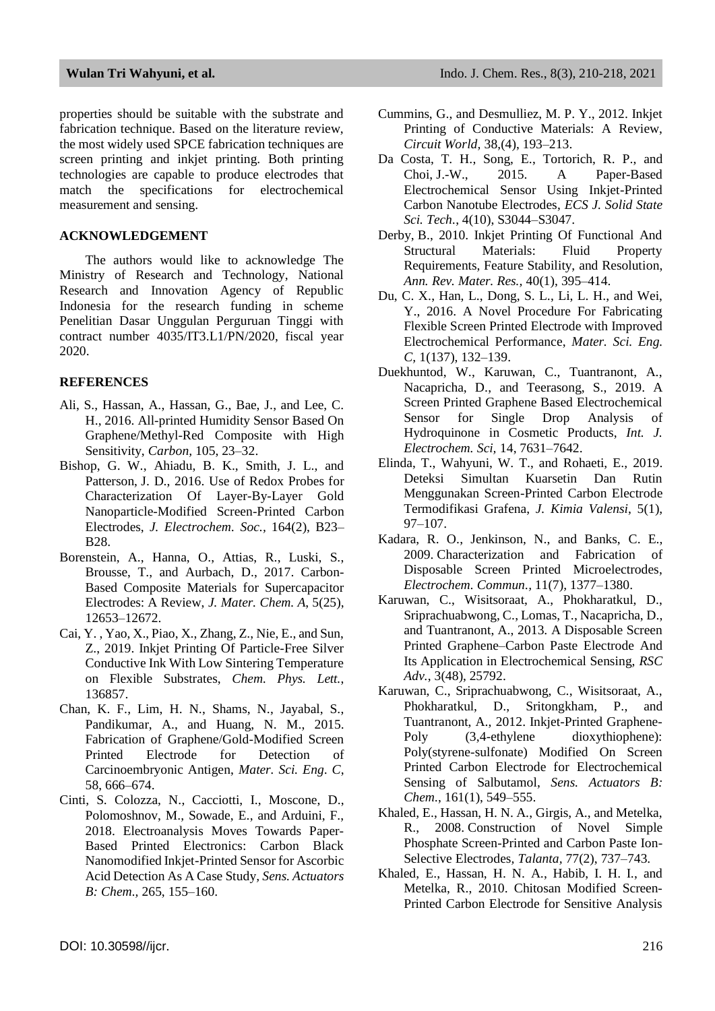properties should be suitable with the substrate and fabrication technique. Based on the literature review, the most widely used SPCE fabrication techniques are screen printing and inkjet printing. Both printing technologies are capable to produce electrodes that match the specifications for electrochemical measurement and sensing.

### **ACKNOWLEDGEMENT**

The authors would like to acknowledge The Ministry of Research and Technology, National Research and Innovation Agency of Republic Indonesia for the research funding in scheme Penelitian Dasar Unggulan Perguruan Tinggi with contract number 4035/IT3.L1/PN/2020, fiscal year 2020.

### **REFERENCES**

- Ali, S., Hassan, A., Hassan, G., Bae, J., and Lee, C. H., 2016. All-printed Humidity Sensor Based On Graphene/Methyl-Red Composite with High Sensitivity, *Carbon,* 105, 23–32.
- Bishop, G. W., Ahiadu, B. K., Smith, J. L., and Patterson, J. D., 2016. Use of Redox Probes for Characterization Of Layer-By-Layer Gold Nanoparticle-Modified Screen-Printed Carbon Electrodes, *J. Electrochem. Soc.,* 164(2), B23– B28.
- Borenstein, A., Hanna, O., Attias, R., Luski, S., Brousse, T., and Aurbach, D., 2017. Carbon-Based Composite Materials for Supercapacitor Electrodes: A Review, *J. Mater. Chem. A*, 5(25), 12653–12672.
- Cai, Y. , Yao, X., Piao, X., Zhang, Z., Nie, E., and Sun, Z., 2019. Inkjet Printing Of Particle-Free Silver Conductive Ink With Low Sintering Temperature on Flexible Substrates, *Chem. Phys. Lett.*, 136857.
- Chan, K. F., Lim, H. N., Shams, N., Jayabal, S., Pandikumar, A., and Huang, N. M., 2015. Fabrication of Graphene/Gold-Modified Screen Printed Electrode for Detection of Carcinoembryonic Antigen, *Mater. Sci. Eng. C*, 58, 666–674.
- Cinti, S. Colozza, N., Cacciotti, I., Moscone, D., Polomoshnov, M., Sowade, E., and Arduini, F., 2018. Electroanalysis Moves Towards Paper-Based Printed Electronics: Carbon Black Nanomodified Inkjet-Printed Sensor for Ascorbic Acid Detection As A Case Study*, Sens. Actuators B: Chem.,* 265, 155–160.
- Cummins, G., and Desmulliez, M. P. Y., 2012. Inkjet Printing of Conductive Materials: A Review, *Circuit World,* 38,(4), 193–213.
- Da Costa, T. H., Song, E., Tortorich, R. P., and Choi, J.-W., 2015. A Paper-Based Electrochemical Sensor Using Inkjet-Printed Carbon Nanotube Electrodes, *ECS J. Solid State Sci. Tech.*, 4(10), S3044–S3047.
- Derby, B., 2010. Inkjet Printing Of Functional And Structural Materials: Fluid Property Requirements, Feature Stability, and Resolution, *Ann. Rev. Mater. Res.,* 40(1), 395–414.
- Du, C. X., Han, L., Dong, S. L., Li, L. H., and Wei, Y., 2016. A Novel Procedure For Fabricating Flexible Screen Printed Electrode with Improved Electrochemical Performance, *Mater. Sci. Eng. C,* 1(137), 132–139.
- Duekhuntod, W., Karuwan, C., Tuantranont, A., Nacapricha, D., and Teerasong, S., 2019. A Screen Printed Graphene Based Electrochemical Sensor for Single Drop Analysis of Hydroquinone in Cosmetic Products, *Int. J. Electrochem. Sci,* 14, 7631–7642.
- Elinda, T., Wahyuni, W. T., and Rohaeti, E., 2019. Deteksi Simultan Kuarsetin Dan Rutin Menggunakan Screen-Printed Carbon Electrode Termodifikasi Grafena, *J. Kimia Valensi*, 5(1), 97–107.
- Kadara, R. O., Jenkinson, N., and Banks, C. E., 2009. Characterization and Fabrication of Disposable Screen Printed Microelectrodes, *Electrochem. Commun.,* 11(7), 1377–1380.
- Karuwan, C., Wisitsoraat, A., Phokharatkul, D., Sriprachuabwong, C., Lomas, T., Nacapricha, D., and Tuantranont, A., 2013. A Disposable Screen Printed Graphene–Carbon Paste Electrode And Its Application in Electrochemical Sensing, *RSC Adv.*, 3(48), 25792.
- Karuwan, C., Sriprachuabwong, C., Wisitsoraat, A., Phokharatkul, D., Sritongkham, P., and Tuantranont, A., 2012. Inkjet-Printed Graphene-Poly  $(3,4$ -ethylene dioxythiophene): Poly(styrene-sulfonate) Modified On Screen Printed Carbon Electrode for Electrochemical Sensing of Salbutamol, *Sens. Actuators B: Chem.*, 161(1), 549–555.
- Khaled, E., Hassan, H. N. A., Girgis, A., and Metelka, R., 2008. Construction of Novel Simple Phosphate Screen-Printed and Carbon Paste Ion-Selective Electrodes*, Talanta,* 77(2), 737–743.
- Khaled, E., Hassan, H. N. A., Habib, I. H. I., and Metelka, R., 2010. Chitosan Modified Screen-Printed Carbon Electrode for Sensitive Analysis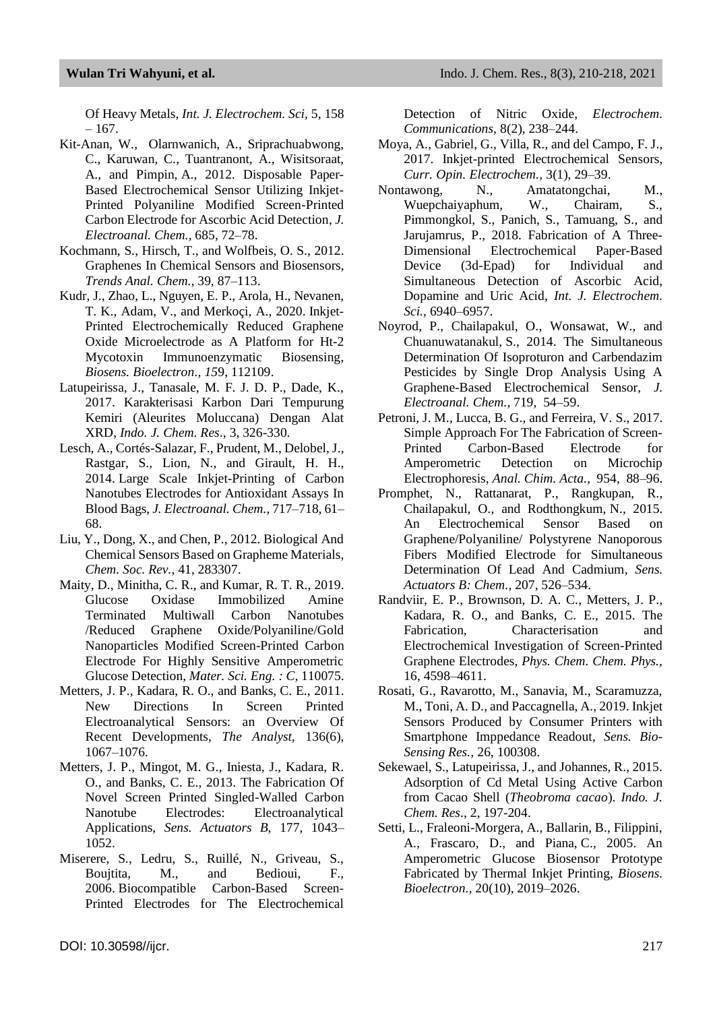Of Heavy Metals, *Int. J. Electrochem. Sci,* 5, 158  $-167.$ 

- Kit-Anan, W., Olarnwanich, A., Sriprachuabwong, C., Karuwan, C., Tuantranont, A., Wisitsoraat, A., and Pimpin, A., 2012. Disposable Paper-Based Electrochemical Sensor Utilizing Inkjet-Printed Polyaniline Modified Screen-Printed Carbon Electrode for Ascorbic Acid Detection, *J. Electroanal. Chem.,* 685, 72–78.
- Kochmann, S., Hirsch, T., and Wolfbeis, O. S., 2012. Graphenes In Chemical Sensors and Biosensors, *Trends Anal. Chem.*, 39, 87–113.
- Kudr, J., Zhao, L., Nguyen, E. P., Arola, H., Nevanen, T. K., Adam, V., and Merkoçi, A., 2020. Inkjet-Printed Electrochemically Reduced Graphene Oxide Microelectrode as A Platform for Ht-2 Mycotoxin Immunoenzymatic Biosensing, *Biosens. Bioelectron., 15*9, 112109.
- Latupeirissa, J., Tanasale, M. F. J. D. P., Dade, K., 2017. Karakterisasi Karbon Dari Tempurung Kemiri (Aleurites Moluccana) Dengan Alat XRD, *Indo. J. Chem. Res*., 3, 326-330.
- Lesch, A., Cortés-Salazar, F., Prudent, M., Delobel, J., Rastgar, S., Lion, N., and Girault, H. H., 2014. Large Scale Inkjet-Printing of Carbon Nanotubes Electrodes for Antioxidant Assays In Blood Bags, *J. Electroanal. Chem.,* 717–718, 61– 68.
- Liu, Y., Dong, X., and Chen, P., 2012. Biological And Chemical Sensors Based on Grapheme Materials, *Chem. Soc. Rev.*, 41, 283307.
- Maity, D., Minitha, C. R., and Kumar, R. T. R., 2019. Glucose Oxidase Immobilized Amine Terminated Multiwall Carbon Nanotubes /Reduced Graphene Oxide/Polyaniline/Gold Nanoparticles Modified Screen-Printed Carbon Electrode For Highly Sensitive Amperometric Glucose Detection, *Mater. Sci. Eng. : C,* 110075.
- Metters, J. P., Kadara, R. O., and Banks, C. E., 2011. New Directions In Screen Printed Electroanalytical Sensors: an Overview Of Recent Developments*, The Analyst,* 136(6), 1067–1076.
- Metters, J. P., Mingot, M. G., Iniesta, J., Kadara, R. O., and Banks, C. E., 2013. The Fabrication Of Novel Screen Printed Singled-Walled Carbon Nanotube Electrodes: Electroanalytical Applications, *Sens. Actuators B,* 177, 1043– 1052.
- Miserere, S., Ledru, S., Ruillé, N., Griveau, S., Boujtita, M., and Bedioui, F., 2006. Biocompatible Carbon-Based Screen-Printed Electrodes for The Electrochemical

Detection of Nitric Oxide, *Electrochem. Communications,* 8(2), 238–244.

- Moya, A., Gabriel, G., Villa, R., and del Campo, F. J., 2017. Inkjet-printed Electrochemical Sensors, *Curr. Opin. Electrochem.,* 3(1), 29–39.
- Nontawong, N., Amatatongchai, M., Wuepchaiyaphum, W., Chairam, S., Pimmongkol, S., Panich, S., Tamuang, S., and Jarujamrus, P., 2018. Fabrication of A Three-Dimensional Electrochemical Paper-Based Device (3d-Epad) for Individual and Simultaneous Detection of Ascorbic Acid, Dopamine and Uric Acid, *Int. J. Electrochem. Sci.*, 6940–6957.
- Noyrod, P., Chailapakul, O., Wonsawat, W., and Chuanuwatanakul, S., 2014. The Simultaneous Determination Of Isoproturon and Carbendazim Pesticides by Single Drop Analysis Using A Graphene-Based Electrochemical Sensor, *J. Electroanal. Chem.*, 719, 54–59.
- Petroni, J. M., Lucca, B. G., and Ferreira, V. S., 2017. Simple Approach For The Fabrication of Screen-Printed Carbon-Based Electrode for Amperometric Detection on Microchip Electrophoresis, *Anal. Chim. Acta.*, 954, 88–96.
- Promphet, N., Rattanarat, P., Rangkupan, R., Chailapakul, O., and Rodthongkum, N., 2015. An Electrochemical Sensor Based on Graphene/Polyaniline/ Polystyrene Nanoporous Fibers Modified Electrode for Simultaneous Determination Of Lead And Cadmium, *Sens. Actuators B: Chem.,* 207, 526–534.
- Randviir, E. P., Brownson, D. A. C., Metters, J. P., Kadara, R. O., and Banks, C. E., 2015. The Fabrication, Characterisation and Electrochemical Investigation of Screen-Printed Graphene Electrodes, *Phys. Chem. Chem. Phys.,*  16, 4598–4611.
- Rosati, G., Ravarotto, M., Sanavia, M., Scaramuzza, M., Toni, A. D., and Paccagnella, A., 2019. Inkjet Sensors Produced by Consumer Printers with Smartphone Imppedance Readout, *Sens. Bio-Sensing Res.,* 26, 100308*.*
- Sekewael, S., Latupeirissa, J., and Johannes, R., 2015. Adsorption of Cd Metal Using Active Carbon from Cacao Shell (*Theobroma cacao*). *Indo. J. Chem. Res*., 2, 197-204.
- Setti, L., Fraleoni-Morgera, A., Ballarin, B., Filippini, A., Frascaro, D., and Piana, C., 2005. An Amperometric Glucose Biosensor Prototype Fabricated by Thermal Inkjet Printing, *Biosens. Bioelectron.,* 20(10), 2019–2026.